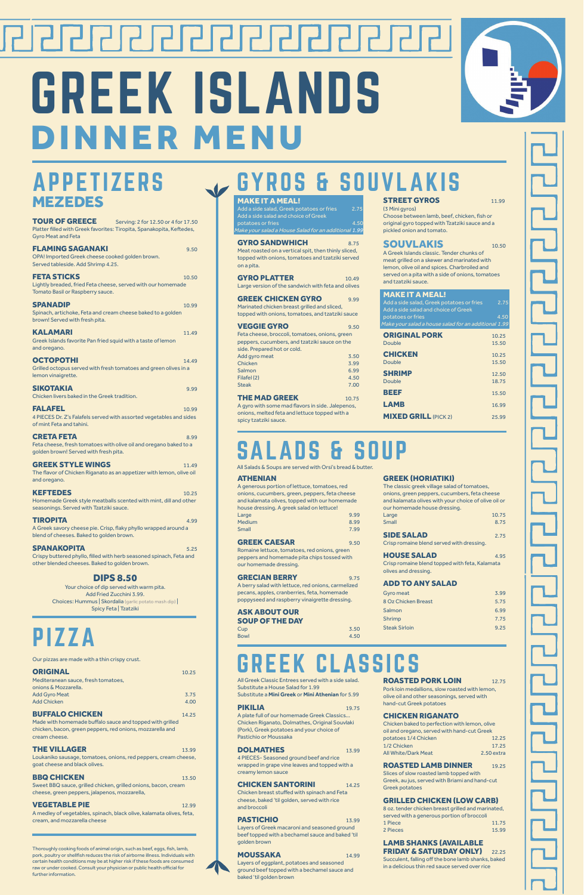### APPETIZERS MEZEDES

# ┍┚╿┍┙╿┍┛╿┏┛╿┍┚╿┏┚┠┲┚ GREEK ISLANDS DINNER MENU



**TOUR OF GREECE** Serving: 2 for 12.50 or 4 for 17.50 Platter filled with Greek favorites: Tiropita, Spanakopita, Keftedes, Gyro Meat and Feta

blend of cheeses. Baked to golden brown. **SPANAKOPITA** 5.25

| <b>FLAMING SAGANAKI</b><br>OPA! Imported Greek cheese cooked golden brown.<br>Served tableside. Add Shrimp 4.25.                | 9.50  |
|---------------------------------------------------------------------------------------------------------------------------------|-------|
| <b>FETA STICKS</b><br>Lightly breaded, fried Feta cheese, served with our homemade<br>Tomato Basil or Raspberry sauce.          | 10.50 |
| <b>SPANADIP</b><br>Spinach, artichoke, Feta and cream cheese baked to a golden<br>brown! Served with fresh pita.                | 10.99 |
| <b>KALAMARI</b><br>Greek Islands favorite Pan fried squid with a taste of lemon<br>and oregano.                                 | 11.49 |
| <b>OCTOPOTHI</b><br>Grilled octopus served with fresh tomatoes and green olives in a<br>lemon vinaigrette.                      | 14.49 |
| <b>SIKOTAKIA</b><br>Chicken livers baked in the Greek tradition.                                                                | 9.99  |
| <b>FALAFEL</b><br>4 PIECES Dr. Z's Falafels served with assorted vegetables and sides<br>of mint Feta and tahini.               | 10.99 |
| <b>CRETA FETA</b><br>Feta cheese, fresh tomatoes with olive oil and oregano baked to a<br>golden brown! Served with fresh pita. | 8.99  |
| <b>GREEK STYLE WINGS</b><br>The flavor of Chicken Riganato as an appetizer with lemon, olive oil<br>and oregano.                | 11.49 |
| <b>KEFTEDES</b><br>Homemade Greek style meatballs scented with mint, dill and other<br>seasonings. Served with Tzatziki sauce.  | 10.25 |
| <b>TIROPITA</b><br>A Greek savory cheese pie. Crisp, flaky phyllo wrapped around a                                              | 4.99  |

A generous portion of lettuce, tomatoes, red onions, cucumbers, green, peppers, feta cheese and kalamata olives, topped with our homemade house dressing. A greek salad on lettuce! Large 9.99 Medium 8.99

GREEK CAESAR 9.50 Romaine lettuce, tomatoes, red onions, green peppers and homemade pita chips tossed with our homemade dressing.

#### GRECIAN BERRY 9.75

#### ASK ABOUT OUR **SOUP OF THE DAY**<br>Cup

Cup 3.50 Bowl 4.50 The classic greek village salad of tomatoes, onions, green peppers, cucumbers, feta cheese and kalamata olives with your choice of olive oil or our homemade house dressing. Large 10.75 Small 8.75

#### MAKE IT A MEAL! Add a side salad, Greek potatoes or fries 2.75 (3 Mini gyros) GYROS & SOUVLA

Add a side salad and choice of Greek potatoes or fries 4.50 1ake your salad a House Salad for an addition<u>al 1.99</u>

Crispy buttered phyllo, filled with herb seasoned spinach, Feta and other blended cheeses. Baked to golden brown.

**GYRO SANDWHICH** 8.75 Meat roasted on a vertical spit, then thinly sliced, topped with onions, tomatoes and tzatziki served on a pita.

GYRO PLATTER 10.49 Large version of the sandwich with feta and olives

#### DIPS 8.50

GREEK CHICKEN GYRO 9.99 Marinated chicken breast grilled and sliced, topped with onions, tomatoes, and tzatziki sauce

**VEGGIE GYRO** 9.50 Feta cheese, broccoli, tomatoes, onions, green peppers, cucumbers, and tzatziki sauce on the side. Prepared hot or cold. Add avro meat 3.50

Your choice of dip served with warm pita. Add Fried Zucchini 3.99. Choices: Hummus | Skordalia (garlic potato mash dip) | Spicy Feta | Tzatziki

#### ATHENIAN

| Small               | 7.99 |
|---------------------|------|
| <b>GREEK CAESAR</b> | 0.50 |

A berry salad with lettuce, red onions, carmelized pecans, apples, cranberries, feta, homemade poppyseed and raspberry vinaigrette dressing.

#### GREEK (HORIATIKI)

| <b>SIDE SALAD</b> | 2.75 |
|-------------------|------|
|                   |      |

Crisp romaine blend served with dressing.

#### HOUSE SALAD 4.95

Chicken baked to perfection with lemon, olive oil and oregano, served with hand-cut Greek potatoes 1/4 Chicken 12.25 1/2 Chicken 17.25 All White/Dark Meat 2.50 extra

#### **ROASTED LAMB DINNER** 19.25

Crisp romaine blend topped with feta, Kalamata olives and dressing.

#### ADD TO ANY SALAD

| Gyro meat            | 3.99 |
|----------------------|------|
| 8 Oz Chicken Breast  | 5.75 |
| Salmon               | 6.99 |
| Shrimp               | 7.75 |
| <b>Steak Sirloin</b> | 9.25 |
|                      |      |

#### LAMB SHANKS (AVAILABLE **FRIDAY & SATURDAY ONLY)** 22.25

**THE VILLAGER** 13.99 Loukaniko sausage, tomatoes, onions, red peppers, cream cheese, goat cheese and black olives.

#### **BBQ CHICKEN** 13.50

| Chicken      | 3.99 |
|--------------|------|
| Salmon       | 6.99 |
| Filafel (2)  | 4.50 |
| <b>Steak</b> | 7.00 |
|              |      |

**THE MAD GREEK** 10.75

A gyro with some mad flavors in side. Jalepenos, onions, melted feta and lettuce topped with a spicy tzatziki sauce.

### **STREET GYROS** 11.99

Choose between lamb, beef, chicken, fish or original gyro topped with Tzatziki sauce and a pickled onion and tomato.

#### SOUVLAKIS 10.50

A Greek Islands classic. Tender chunks of meat grilled on a skewer and marinated with lemon, olive oil and spices. Charbroiled and served on a pita with a side of onions, tomatoes and tzatziki sauce.

| <b>MAKE IT A MEAL!</b><br>Add a side salad, Greek potatoes or fries<br>Add a side salad and choice of Greek<br>potatoes or fries<br>Make your salad a house salad for an additional 1.99 | 2.75<br>4.50 |
|------------------------------------------------------------------------------------------------------------------------------------------------------------------------------------------|--------------|
| <b>ORIGINAL PORK</b>                                                                                                                                                                     | 10.25        |
| <b>Double</b>                                                                                                                                                                            | 15.50        |
| <b>CHICKEN</b>                                                                                                                                                                           | 10.25        |
| <b>Double</b>                                                                                                                                                                            | 15.50        |
| <b>SHRIMP</b>                                                                                                                                                                            | 12.50        |
| Double                                                                                                                                                                                   | 18.75        |
| BEEF                                                                                                                                                                                     | 15.50        |
| LAMB                                                                                                                                                                                     | 16.99        |
| <b>MIXED GRILL (PICK 2)</b>                                                                                                                                                              | 25.99        |

### $DS<sub>s</sub>$

All Greek Classic Entrees served with a side salad. Substitute a House Salad for 1.99 Substitute a **Mini Greek** or **Mini Athenian** for 5.99

PIKILIA 19.75

A plate full of our homemade Greek Classics... Chicken Riganato, Dolmathes, Original Souvlaki (Pork), Greek potatoes and your choice of Pastichio or Moussaka

#### **DOLMATHES** 13.99

4 PIECES- Seasoned ground beef and rice wrapped in grape vine leaves and topped with a creamy lemon sauce

**CHICKEN SANTORINI** 14.25

Chicken breast stuffed with spinach and Feta cheese, baked 'til golden, served with rice and broccoli

#### PASTICHIO 13.99

Layers of Greek macaroni and seasoned ground beef topped with a bechamel sauce and baked 'til golden brown

#### **MOUSSAKA** 14.99

Layers of eggplant, potatoes and seasoned ground beef topped with a bechamel sauce and baked 'til golden brown

**ROASTED PORK LOIN** 12.75

Pork loin medallions, slow roasted with lemon, olive oil and other seasonings, served with hand-cut Greek potatoes

#### CHICKEN RIGANATO

Slices of slow roasted lamb topped with Greek, au jus, served with Briami and hand-cut Greek potatoes

#### GRILLED CHICKEN (LOW CARB)

8 oz. tender chicken breast grilled and marinated, served with a generous portion of broccoli 1 Piece **11.75** 2 Pieces 15.99



Succulent, falling off the bone lamb shanks, baked in a delicious thin red sauce served over rice





Thoroughly cooking foods of animal origin, such as beef, eggs, fish, lamb, pork, poultry or shellfish reduces the risk of airborne illness. Individuals with certain health conditions may be at higher risk if these foods are consumed raw or under cooked. Consult your physician or public health official for further information.

### EEK CLASSICS

PIZZA

Our pizzas are made with a thin crispy crust.

| <b>ORIGINAL</b>                     | 10.25 |
|-------------------------------------|-------|
| Mediteranean sauce, fresh tomatoes, |       |
| onions & Mozzarella.                |       |
| <b>Add Gyro Meat</b>                | 3.75  |
| <b>Add Chicken</b>                  | 4.00  |
|                                     |       |

**BUFFALO CHICKEN** 14.25

Made with homemade buffalo sauce and topped with grilled chicken, bacon, green peppers, red onions, mozzarella and cream cheese.

Sweet BBQ sauce, grilled chicken, grilled onions, bacon, cream cheese, green peppers, jalapenos, mozzarella,

#### **VEGETABLE PIE** 12.99

A medley of vegetables, spinach, black olive, kalamata olives, feta, cream, and mozzarella cheese

All Salads & Soups are served with Orsi's bread & butter.